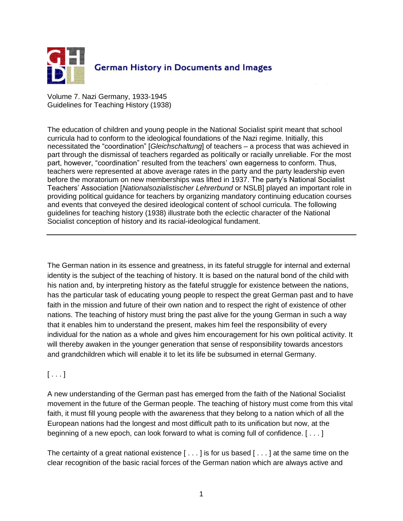

Volume 7. Nazi Germany, 1933-1945 Guidelines for Teaching History (1938)

The education of children and young people in the National Socialist spirit meant that school curricula had to conform to the ideological foundations of the Nazi regime. Initially, this necessitated the "coordination" [*Gleichschaltung*] of teachers – a process that was achieved in part through the dismissal of teachers regarded as politically or racially unreliable. For the most part, however, "coordination" resulted from the teachers' own eagerness to conform. Thus, teachers were represented at above average rates in the party and the party leadership even before the moratorium on new memberships was lifted in 1937. The party's National Socialist Teachers' Association [*Nationalsozialistischer Lehrerbund* or NSLB] played an important role in providing political guidance for teachers by organizing mandatory continuing education courses and events that conveyed the desired ideological content of school curricula. The following guidelines for teaching history (1938) illustrate both the eclectic character of the National Socialist conception of history and its racial-ideological fundament.

The German nation in its essence and greatness, in its fateful struggle for internal and external identity is the subject of the teaching of history. It is based on the natural bond of the child with his nation and, by interpreting history as the fateful struggle for existence between the nations, has the particular task of educating young people to respect the great German past and to have faith in the mission and future of their own nation and to respect the right of existence of other nations. The teaching of history must bring the past alive for the young German in such a way that it enables him to understand the present, makes him feel the responsibility of every individual for the nation as a whole and gives him encouragement for his own political activity. It will thereby awaken in the younger generation that sense of responsibility towards ancestors and grandchildren which will enable it to let its life be subsumed in eternal Germany.

## $[ \ldots ]$

A new understanding of the German past has emerged from the faith of the National Socialist movement in the future of the German people. The teaching of history must come from this vital faith, it must fill young people with the awareness that they belong to a nation which of all the European nations had the longest and most difficult path to its unification but now, at the beginning of a new epoch, can look forward to what is coming full of confidence. [ . . . ]

The certainty of a great national existence  $[\ldots]$  is for us based  $[\ldots]$  at the same time on the clear recognition of the basic racial forces of the German nation which are always active and